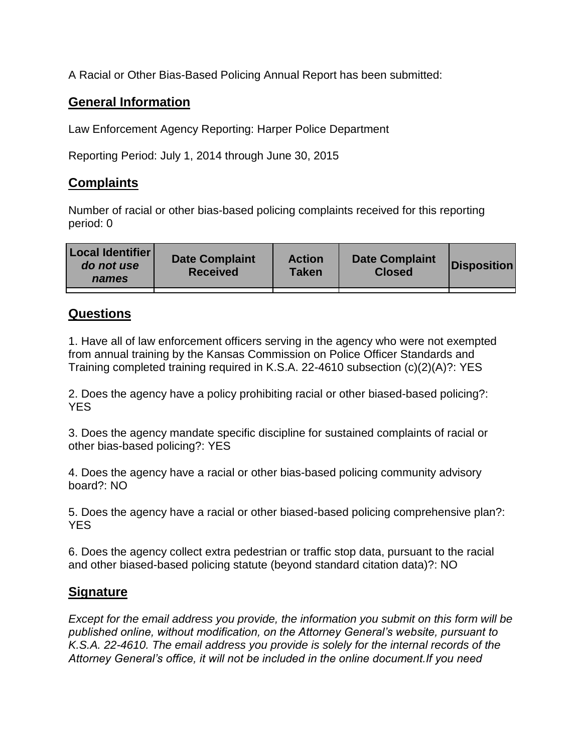A Racial or Other Bias-Based Policing Annual Report has been submitted:

## **General Information**

Law Enforcement Agency Reporting: Harper Police Department

Reporting Period: July 1, 2014 through June 30, 2015

## **Complaints**

Number of racial or other bias-based policing complaints received for this reporting period: 0

| <b>Local Identifier</b><br>do not use<br>names | <b>Date Complaint</b><br><b>Received</b> | <b>Action</b><br><b>Taken</b> | <b>Date Complaint</b><br><b>Closed</b> | Disposition |
|------------------------------------------------|------------------------------------------|-------------------------------|----------------------------------------|-------------|
|                                                |                                          |                               |                                        |             |

## **Questions**

1. Have all of law enforcement officers serving in the agency who were not exempted from annual training by the Kansas Commission on Police Officer Standards and Training completed training required in K.S.A. 22-4610 subsection (c)(2)(A)?: YES

2. Does the agency have a policy prohibiting racial or other biased-based policing?: YES

3. Does the agency mandate specific discipline for sustained complaints of racial or other bias-based policing?: YES

4. Does the agency have a racial or other bias-based policing community advisory board?: NO

5. Does the agency have a racial or other biased-based policing comprehensive plan?: YES

6. Does the agency collect extra pedestrian or traffic stop data, pursuant to the racial and other biased-based policing statute (beyond standard citation data)?: NO

## **Signature**

*Except for the email address you provide, the information you submit on this form will be published online, without modification, on the Attorney General's website, pursuant to K.S.A. 22-4610. The email address you provide is solely for the internal records of the Attorney General's office, it will not be included in the online document.If you need*